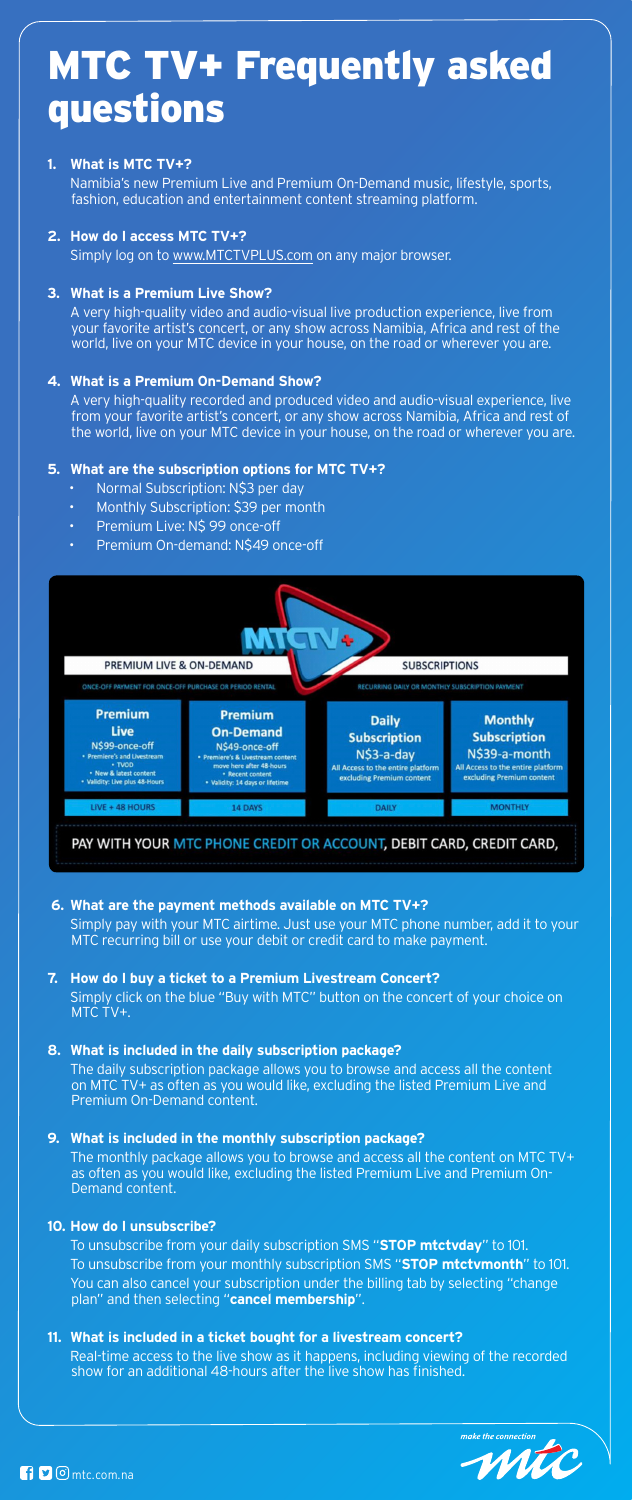

# MTC TV+ Frequently asked questions

## **1. What is MTC TV+?**

 Namibia's new Premium Live and Premium On-Demand music, lifestyle, sports, fashion, education and entertainment content streaming platform.

### **2. How do I access MTC TV+?**

 Simply log on to www.MTCTVPLUS.com on any major browser.

## **3. What is a Premium Live Show?**

 A very high-quality video and audio-visual live production experience, live from your favorite artist's concert, or any show across Namibia, Africa and rest of the world, live on your MTC device in your house, on the road or wherever you are.

## **4. What is a Premium On-Demand Show?**

 A very high-quality recorded and produced video and audio-visual experience, live from your favorite artist's concert, or any show across Namibia, Africa and rest of the world, live on your MTC device in your house, on the road or wherever you are.

## **5. What are the subscription options for MTC TV+?**

- Normal Subscription: N\$3 per day
- Monthly Subscription: \$39 per month
- Premium Live: N\$ 99 once-off
- Premium On-demand: N\$49 once-off



PAY WITH YOUR MTC PHONE CREDIT OR ACCOUNT, DEBIT CARD, CREDIT CARD,

**6. What are the payment methods available on MTC TV+?** Simply pay with your MTC airtime. Just use your MTC phone number, add it to your MTC recurring bill or use your debit or credit card to make payment.

# **7. How do I buy a ticket to a Premium Livestream Concert?** Simply click on the blue "Buy with MTC" button on the concert of your choice on MTC TV+.

# **8. What is included in the daily subscription package?**

 The daily subscription package allows you to browse and access all the content on MTC TV+ as often as you would like, excluding the listed Premium Live and Premium On-Demand content.

# **9. What is included in the monthly subscription package?**

 The monthly package allows you to browse and access all the content on MTC TV+ as often as you would like, excluding the listed Premium Live and Premium On-Demand content.

## **10. How do I unsubscribe?**

 To unsubscribe from your daily subscription SMS "**STOP mtctvday**" to 101. To unsubscribe from your monthly subscription SMS "**STOP mtctvmonth**" to 101. You can also cancel your subscription under the billing tab by selecting "change plan" and then selecting "**cancel membership**".

# **11. What is included in a ticket bought for a livestream concert?**

 Real-time access to the live show as it happens, including viewing of the recorded show for an additional 48-hours after the live show has finished.

make the connection